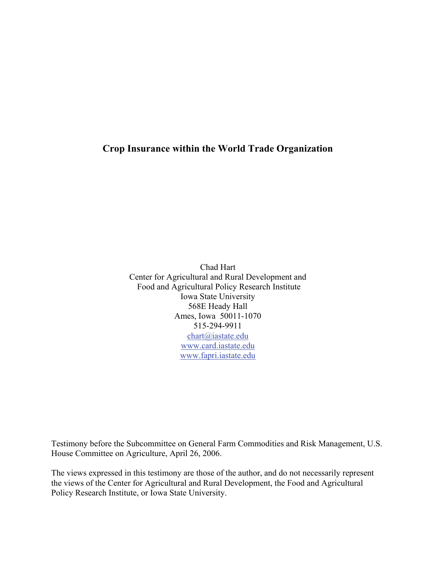## **Crop Insurance within the World Trade Organization**

Chad Hart Center for Agricultural and Rural Development and Food and Agricultural Policy Research Institute Iowa State University 568E Heady Hall Ames, Iowa 50011-1070 515-294-9911 [chart@iastate.edu](mailto:chart@iastate.edu) [www.card.iastate.edu](http://www.card.iastate.edu/) [www.fapri.iastate.edu](http://www.fapri.iastate.edu/)

Testimony before the Subcommittee on General Farm Commodities and Risk Management, U.S. House Committee on Agriculture, April 26, 2006.

The views expressed in this testimony are those of the author, and do not necessarily represent the views of the Center for Agricultural and Rural Development, the Food and Agricultural Policy Research Institute, or Iowa State University.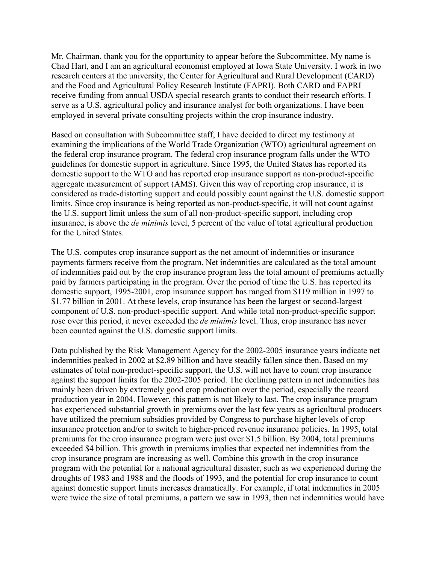Mr. Chairman, thank you for the opportunity to appear before the Subcommittee. My name is Chad Hart, and I am an agricultural economist employed at Iowa State University. I work in two research centers at the university, the Center for Agricultural and Rural Development (CARD) and the Food and Agricultural Policy Research Institute (FAPRI). Both CARD and FAPRI receive funding from annual USDA special research grants to conduct their research efforts. I serve as a U.S. agricultural policy and insurance analyst for both organizations. I have been employed in several private consulting projects within the crop insurance industry.

Based on consultation with Subcommittee staff, I have decided to direct my testimony at examining the implications of the World Trade Organization (WTO) agricultural agreement on the federal crop insurance program. The federal crop insurance program falls under the WTO guidelines for domestic support in agriculture. Since 1995, the United States has reported its domestic support to the WTO and has reported crop insurance support as non-product-specific aggregate measurement of support (AMS). Given this way of reporting crop insurance, it is considered as trade-distorting support and could possibly count against the U.S. domestic support limits. Since crop insurance is being reported as non-product-specific, it will not count against the U.S. support limit unless the sum of all non-product-specific support, including crop insurance, is above the *de minimis* level, 5 percent of the value of total agricultural production for the United States.

The U.S. computes crop insurance support as the net amount of indemnities or insurance payments farmers receive from the program. Net indemnities are calculated as the total amount of indemnities paid out by the crop insurance program less the total amount of premiums actually paid by farmers participating in the program. Over the period of time the U.S. has reported its domestic support, 1995-2001, crop insurance support has ranged from \$119 million in 1997 to \$1.77 billion in 2001. At these levels, crop insurance has been the largest or second-largest component of U.S. non-product-specific support. And while total non-product-specific support rose over this period, it never exceeded the *de minimis* level. Thus, crop insurance has never been counted against the U.S. domestic support limits.

Data published by the Risk Management Agency for the 2002-2005 insurance years indicate net indemnities peaked in 2002 at \$2.89 billion and have steadily fallen since then. Based on my estimates of total non-product-specific support, the U.S. will not have to count crop insurance against the support limits for the 2002-2005 period. The declining pattern in net indemnities has mainly been driven by extremely good crop production over the period, especially the record production year in 2004. However, this pattern is not likely to last. The crop insurance program has experienced substantial growth in premiums over the last few years as agricultural producers have utilized the premium subsidies provided by Congress to purchase higher levels of crop insurance protection and/or to switch to higher-priced revenue insurance policies. In 1995, total premiums for the crop insurance program were just over \$1.5 billion. By 2004, total premiums exceeded \$4 billion. This growth in premiums implies that expected net indemnities from the crop insurance program are increasing as well. Combine this growth in the crop insurance program with the potential for a national agricultural disaster, such as we experienced during the droughts of 1983 and 1988 and the floods of 1993, and the potential for crop insurance to count against domestic support limits increases dramatically. For example, if total indemnities in 2005 were twice the size of total premiums, a pattern we saw in 1993, then net indemnities would have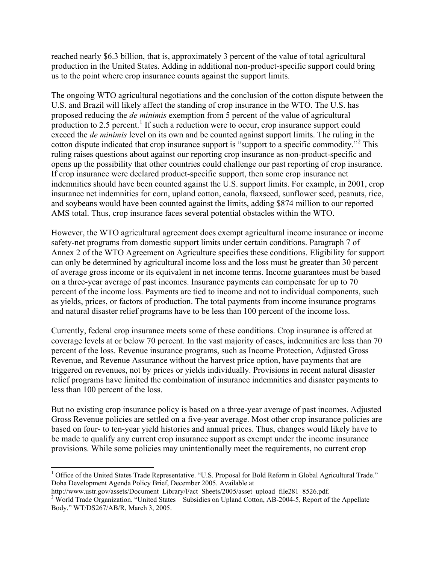reached nearly \$6.3 billion, that is, approximately 3 percent of the value of total agricultural production in the United States. Adding in additional non-product-specific support could bring us to the point where crop insurance counts against the support limits.

The ongoing WTO agricultural negotiations and the conclusion of the cotton dispute between the U.S. and Brazil will likely affect the standing of crop insurance in the WTO. The U.S. has proposed reducing the *de minimis* exemption from 5 percent of the value of agricultural production to  $2.5$  percent.<sup>[1](#page-2-0)</sup> If such a reduction were to occur, crop insurance support could exceed the *de minimis* level on its own and be counted against support limits. The ruling in the cotton dispute indicated that crop insurance support is "support to a specific commodity."<sup>[2](#page-2-1)</sup> This ruling raises questions about against our reporting crop insurance as non-product-specific and opens up the possibility that other countries could challenge our past reporting of crop insurance. If crop insurance were declared product-specific support, then some crop insurance net indemnities should have been counted against the U.S. support limits. For example, in 2001, crop insurance net indemnities for corn, upland cotton, canola, flaxseed, sunflower seed, peanuts, rice, and soybeans would have been counted against the limits, adding \$874 million to our reported AMS total. Thus, crop insurance faces several potential obstacles within the WTO.

However, the WTO agricultural agreement does exempt agricultural income insurance or income safety-net programs from domestic support limits under certain conditions. Paragraph 7 of Annex 2 of the WTO Agreement on Agriculture specifies these conditions. Eligibility for support can only be determined by agricultural income loss and the loss must be greater than 30 percent of average gross income or its equivalent in net income terms. Income guarantees must be based on a three-year average of past incomes. Insurance payments can compensate for up to 70 percent of the income loss. Payments are tied to income and not to individual components, such as yields, prices, or factors of production. The total payments from income insurance programs and natural disaster relief programs have to be less than 100 percent of the income loss.

Currently, federal crop insurance meets some of these conditions. Crop insurance is offered at coverage levels at or below 70 percent. In the vast majority of cases, indemnities are less than 70 percent of the loss. Revenue insurance programs, such as Income Protection, Adjusted Gross Revenue, and Revenue Assurance without the harvest price option, have payments that are triggered on revenues, not by prices or yields individually. Provisions in recent natural disaster relief programs have limited the combination of insurance indemnities and disaster payments to less than 100 percent of the loss.

But no existing crop insurance policy is based on a three-year average of past incomes. Adjusted Gross Revenue policies are settled on a five-year average. Most other crop insurance policies are based on four- to ten-year yield histories and annual prices. Thus, changes would likely have to be made to qualify any current crop insurance support as exempt under the income insurance provisions. While some policies may unintentionally meet the requirements, no current crop

 $\overline{a}$ 

<span id="page-2-0"></span><sup>&</sup>lt;sup>1</sup> Office of the United States Trade Representative. "U.S. Proposal for Bold Reform in Global Agricultural Trade." Doha Development Agenda Policy Brief, December 2005. Available at

http://www.ustr.gov/assets/Document\_Library/Fact\_Sheets/2005/asset\_upload\_file281\_8526.pdf.

<span id="page-2-1"></span><sup>&</sup>lt;sup>2</sup> World Trade Organization. "United States – Subsidies on Upland Cotton, AB-2004-5, Report of the Appellate Body." WT/DS267/AB/R, March 3, 2005.